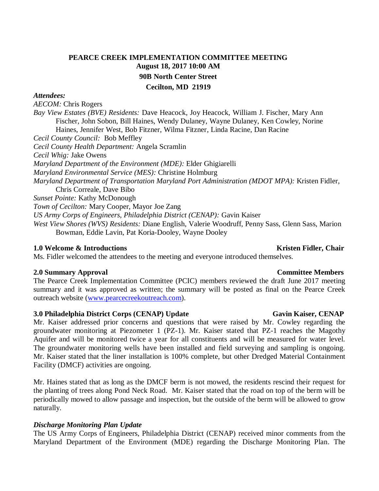# **PEARCE CREEK IMPLEMENTATION COMMITTEE MEETING August 18, 2017 10:00 AM 90B North Center Street Cecilton, MD 21919**

## *Attendees:*

*AECOM:* Chris Rogers *Bay View Estates (BVE) Residents:* Dave Heacock, Joy Heacock, William J. Fischer, Mary Ann Fischer, John Sobon, Bill Haines, Wendy Dulaney, Wayne Dulaney, Ken Cowley, Norine Haines, Jennifer West, Bob Fitzner, Wilma Fitzner, Linda Racine, Dan Racine *Cecil County Council:* Bob Meffley *Cecil County Health Department:* Angela Scramlin *Cecil Whig:* Jake Owens *Maryland Department of the Environment (MDE):* Elder Ghigiarelli *Maryland Environmental Service (MES):* Christine Holmburg *Maryland Department of Transportation Maryland Port Administration (MDOT MPA):* Kristen Fidler, Chris Correale, Dave Bibo *Sunset Pointe:* Kathy McDonough *Town of Cecilton:* Mary Cooper, Mayor Joe Zang *US Army Corps of Engineers, Philadelphia District (CENAP):* Gavin Kaiser *West View Shores (WVS) Residents:* Diane English, Valerie Woodruff, Penny Sass, Glenn Sass, Marion Bowman, Eddie Lavin, Pat Koria-Dooley, Wayne Dooley

## **1.0** Welcome & Introductions **Kristen Fidler, Chair Kristen Fidler, Chair Kristen Fidler**, Chair

Ms. Fidler welcomed the attendees to the meeting and everyone introduced themselves.

### **2.0 Summary Approval Committee Members**

The Pearce Creek Implementation Committee (PCIC) members reviewed the draft June 2017 meeting summary and it was approved as written; the summary will be posted as final on the Pearce Creek outreach website [\(www.pearcecreekoutreach.com\)](http://www.pearcecreekoutreach.com/).

### **3.0** Philadelphia District Corps (CENAP) Update Gavin Kaiser, CENAP

Mr. Kaiser addressed prior concerns and questions that were raised by Mr. Cowley regarding the groundwater monitoring at Piezometer 1 (PZ-1). Mr. Kaiser stated that PZ-1 reaches the Magothy Aquifer and will be monitored twice a year for all constituents and will be measured for water level. The groundwater monitoring wells have been installed and field surveying and sampling is ongoing. Mr. Kaiser stated that the liner installation is 100% complete, but other Dredged Material Containment Facility (DMCF) activities are ongoing.

Mr. Haines stated that as long as the DMCF berm is not mowed, the residents rescind their request for the planting of trees along Pond Neck Road. Mr. Kaiser stated that the road on top of the berm will be periodically mowed to allow passage and inspection, but the outside of the berm will be allowed to grow naturally.

## *Discharge Monitoring Plan Update*

The US Army Corps of Engineers, Philadelphia District (CENAP) received minor comments from the Maryland Department of the Environment (MDE) regarding the Discharge Monitoring Plan. The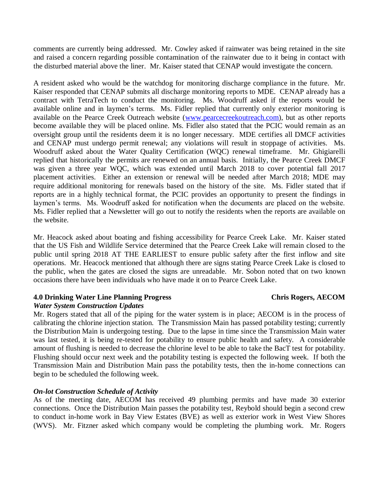comments are currently being addressed. Mr. Cowley asked if rainwater was being retained in the site and raised a concern regarding possible contamination of the rainwater due to it being in contact with the disturbed material above the liner. Mr. Kaiser stated that CENAP would investigate the concern.

A resident asked who would be the watchdog for monitoring discharge compliance in the future. Mr. Kaiser responded that CENAP submits all discharge monitoring reports to MDE. CENAP already has a contract with TetraTech to conduct the monitoring. Ms. Woodruff asked if the reports would be available online and in laymen's terms. Ms. Fidler replied that currently only exterior monitoring is available on the Pearce Creek Outreach website [\(www.pearcecreekoutreach.com\)](http://www.pearcecreekoutreach.com/), but as other reports become available they will be placed online. Ms. Fidler also stated that the PCIC would remain as an oversight group until the residents deem it is no longer necessary. MDE certifies all DMCF activities and CENAP must undergo permit renewal; any violations will result in stoppage of activities. Ms. Woodruff asked about the Water Quality Certification (WQC) renewal timeframe. Mr. Ghigiarelli replied that historically the permits are renewed on an annual basis. Initially, the Pearce Creek DMCF was given a three year WQC, which was extended until March 2018 to cover potential fall 2017 placement activities. Either an extension or renewal will be needed after March 2018; MDE may require additional monitoring for renewals based on the history of the site. Ms. Fidler stated that if reports are in a highly technical format, the PCIC provides an opportunity to present the findings in laymen's terms. Ms. Woodruff asked for notification when the documents are placed on the website. Ms. Fidler replied that a Newsletter will go out to notify the residents when the reports are available on the website.

Mr. Heacock asked about boating and fishing accessibility for Pearce Creek Lake. Mr. Kaiser stated that the US Fish and Wildlife Service determined that the Pearce Creek Lake will remain closed to the public until spring 2018 AT THE EARLIEST to ensure public safety after the first inflow and site operations. Mr. Heacock mentioned that although there are signs stating Pearce Creek Lake is closed to the public, when the gates are closed the signs are unreadable. Mr. Sobon noted that on two known occasions there have been individuals who have made it on to Pearce Creek Lake.

## **4.0 Drinking Water Line Planning Progress Chris Rogers, AECOM**

## *Water System Construction Updates*

Mr. Rogers stated that all of the piping for the water system is in place; AECOM is in the process of calibrating the chlorine injection station. The Transmission Main has passed potability testing; currently the Distribution Main is undergoing testing. Due to the lapse in time since the Transmission Main water was last tested, it is being re-tested for potability to ensure public health and safety. A considerable amount of flushing is needed to decrease the chlorine level to be able to take the BacT test for potability. Flushing should occur next week and the potability testing is expected the following week. If both the Transmission Main and Distribution Main pass the potability tests, then the in-home connections can begin to be scheduled the following week.

## *On-lot Construction Schedule of Activity*

As of the meeting date, AECOM has received 49 plumbing permits and have made 30 exterior connections. Once the Distribution Main passes the potability test, Reybold should begin a second crew to conduct in-home work in Bay View Estates (BVE) as well as exterior work in West View Shores (WVS). Mr. Fitzner asked which company would be completing the plumbing work. Mr. Rogers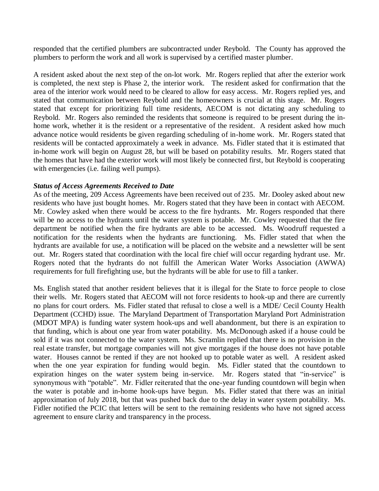responded that the certified plumbers are subcontracted under Reybold. The County has approved the plumbers to perform the work and all work is supervised by a certified master plumber.

A resident asked about the next step of the on-lot work. Mr. Rogers replied that after the exterior work is completed, the next step is Phase 2, the interior work. The resident asked for confirmation that the area of the interior work would need to be cleared to allow for easy access. Mr. Rogers replied yes, and stated that communication between Reybold and the homeowners is crucial at this stage. Mr. Rogers stated that except for prioritizing full time residents, AECOM is not dictating any scheduling to Reybold. Mr. Rogers also reminded the residents that someone is required to be present during the inhome work, whether it is the resident or a representative of the resident. A resident asked how much advance notice would residents be given regarding scheduling of in-home work. Mr. Rogers stated that residents will be contacted approximately a week in advance. Ms. Fidler stated that it is estimated that in-home work will begin on August 28, but will be based on potability results. Mr. Rogers stated that the homes that have had the exterior work will most likely be connected first, but Reybold is cooperating with emergencies (i.e. failing well pumps).

## *Status of Access Agreements Received to Date*

As of the meeting, 209 Access Agreements have been received out of 235. Mr. Dooley asked about new residents who have just bought homes. Mr. Rogers stated that they have been in contact with AECOM. Mr. Cowley asked when there would be access to the fire hydrants. Mr. Rogers responded that there will be no access to the hydrants until the water system is potable. Mr. Cowley requested that the fire department be notified when the fire hydrants are able to be accessed. Ms. Woodruff requested a notification for the residents when the hydrants are functioning. Ms. Fidler stated that when the hydrants are available for use, a notification will be placed on the website and a newsletter will be sent out. Mr. Rogers stated that coordination with the local fire chief will occur regarding hydrant use. Mr. Rogers noted that the hydrants do not fulfill the American Water Works Association (AWWA) requirements for full firefighting use, but the hydrants will be able for use to fill a tanker.

Ms. English stated that another resident believes that it is illegal for the State to force people to close their wells. Mr. Rogers stated that AECOM will not force residents to hook-up and there are currently no plans for court orders. Ms. Fidler stated that refusal to close a well is a MDE/ Cecil County Health Department (CCHD) issue. The Maryland Department of Transportation Maryland Port Administration (MDOT MPA) is funding water system hook-ups and well abandonment, but there is an expiration to that funding, which is about one year from water potability. Ms. McDonough asked if a house could be sold if it was not connected to the water system. Ms. Scramlin replied that there is no provision in the real estate transfer, but mortgage companies will not give mortgages if the house does not have potable water. Houses cannot be rented if they are not hooked up to potable water as well. A resident asked when the one year expiration for funding would begin. Ms. Fidler stated that the countdown to expiration hinges on the water system being in-service. Mr. Rogers stated that "in-service" is synonymous with "potable". Mr. Fidler reiterated that the one-year funding countdown will begin when the water is potable and in-home hook-ups have begun. Ms. Fidler stated that there was an initial approximation of July 2018, but that was pushed back due to the delay in water system potability. Ms. Fidler notified the PCIC that letters will be sent to the remaining residents who have not signed access agreement to ensure clarity and transparency in the process.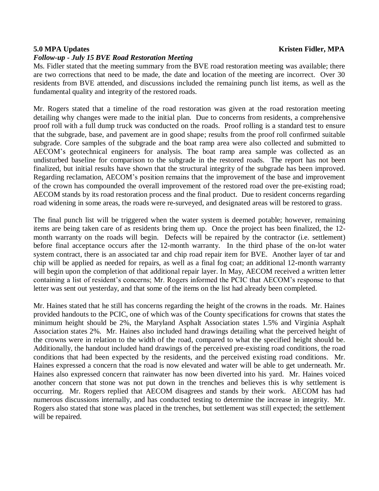### *Follow-up - July 15 BVE Road Restoration Meeting*

Ms. Fidler stated that the meeting summary from the BVE road restoration meeting was available; there are two corrections that need to be made, the date and location of the meeting are incorrect. Over 30 residents from BVE attended, and discussions included the remaining punch list items, as well as the fundamental quality and integrity of the restored roads.

Mr. Rogers stated that a timeline of the road restoration was given at the road restoration meeting detailing why changes were made to the initial plan. Due to concerns from residents, a comprehensive proof roll with a full dump truck was conducted on the roads. Proof rolling is a standard test to ensure that the subgrade, base, and pavement are in good shape; results from the proof roll confirmed suitable subgrade. Core samples of the subgrade and the boat ramp area were also collected and submitted to AECOM's geotechnical engineers for analysis. The boat ramp area sample was collected as an undisturbed baseline for comparison to the subgrade in the restored roads. The report has not been finalized, but initial results have shown that the structural integrity of the subgrade has been improved. Regarding reclamation, AECOM's position remains that the improvement of the base and improvement of the crown has compounded the overall improvement of the restored road over the pre-existing road; AECOM stands by its road restoration process and the final product. Due to resident concerns regarding road widening in some areas, the roads were re-surveyed, and designated areas will be restored to grass.

The final punch list will be triggered when the water system is deemed potable; however, remaining items are being taken care of as residents bring them up. Once the project has been finalized, the 12 month warranty on the roads will begin. Defects will be repaired by the contractor (i.e. settlement) before final acceptance occurs after the 12-month warranty. In the third phase of the on-lot water system contract, there is an associated tar and chip road repair item for BVE. Another layer of tar and chip will be applied as needed for repairs, as well as a final fog coat; an additional 12-month warranty will begin upon the completion of that additional repair layer. In May, AECOM received a written letter containing a list of resident's concerns; Mr. Rogers informed the PCIC that AECOM's response to that letter was sent out yesterday, and that some of the items on the list had already been completed.

Mr. Haines stated that he still has concerns regarding the height of the crowns in the roads. Mr. Haines provided handouts to the PCIC, one of which was of the County specifications for crowns that states the minimum height should be 2%, the Maryland Asphalt Association states 1.5% and Virginia Asphalt Association states 2%. Mr. Haines also included hand drawings detailing what the perceived height of the crowns were in relation to the width of the road, compared to what the specified height should be. Additionally, the handout included hand drawings of the perceived pre-existing road conditions, the road conditions that had been expected by the residents, and the perceived existing road conditions. Mr. Haines expressed a concern that the road is now elevated and water will be able to get underneath. Mr. Haines also expressed concern that rainwater has now been diverted into his yard. Mr. Haines voiced another concern that stone was not put down in the trenches and believes this is why settlement is occurring. Mr. Rogers replied that AECOM disagrees and stands by their work. AECOM has had numerous discussions internally, and has conducted testing to determine the increase in integrity. Mr. Rogers also stated that stone was placed in the trenches, but settlement was still expected; the settlement will be repaired.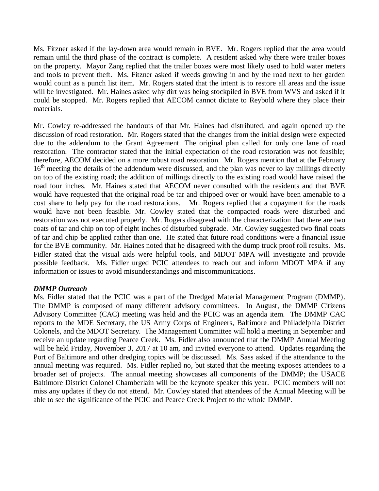Ms. Fitzner asked if the lay-down area would remain in BVE. Mr. Rogers replied that the area would remain until the third phase of the contract is complete. A resident asked why there were trailer boxes on the property. Mayor Zang replied that the trailer boxes were most likely used to hold water meters and tools to prevent theft. Ms. Fitzner asked if weeds growing in and by the road next to her garden would count as a punch list item. Mr. Rogers stated that the intent is to restore all areas and the issue will be investigated. Mr. Haines asked why dirt was being stockpiled in BVE from WVS and asked if it could be stopped. Mr. Rogers replied that AECOM cannot dictate to Reybold where they place their materials.

Mr. Cowley re-addressed the handouts of that Mr. Haines had distributed, and again opened up the discussion of road restoration. Mr. Rogers stated that the changes from the initial design were expected due to the addendum to the Grant Agreement. The original plan called for only one lane of road restoration. The contractor stated that the initial expectation of the road restoration was not feasible; therefore, AECOM decided on a more robust road restoration. Mr. Rogers mention that at the February 16<sup>th</sup> meeting the details of the addendum were discussed, and the plan was never to lay millings directly on top of the existing road; the addition of millings directly to the existing road would have raised the road four inches. Mr. Haines stated that AECOM never consulted with the residents and that BVE would have requested that the original road be tar and chipped over or would have been amenable to a cost share to help pay for the road restorations. Mr. Rogers replied that a copayment for the roads would have not been feasible. Mr. Cowley stated that the compacted roads were disturbed and restoration was not executed properly. Mr. Rogers disagreed with the characterization that there are two coats of tar and chip on top of eight inches of disturbed subgrade. Mr. Cowley suggested two final coats of tar and chip be applied rather than one. He stated that future road conditions were a financial issue for the BVE community. Mr. Haines noted that he disagreed with the dump truck proof roll results. Ms. Fidler stated that the visual aids were helpful tools, and MDOT MPA will investigate and provide possible feedback. Ms. Fidler urged PCIC attendees to reach out and inform MDOT MPA if any information or issues to avoid misunderstandings and miscommunications.

## *DMMP Outreach*

Ms. Fidler stated that the PCIC was a part of the Dredged Material Management Program (DMMP). The DMMP is composed of many different advisory committees. In August, the DMMP Citizens Advisory Committee (CAC) meeting was held and the PCIC was an agenda item. The DMMP CAC reports to the MDE Secretary, the US Army Corps of Engineers, Baltimore and Philadelphia District Colonels, and the MDOT Secretary. The Management Committee will hold a meeting in September and receive an update regarding Pearce Creek. Ms. Fidler also announced that the DMMP Annual Meeting will be held Friday, November 3, 2017 at 10 am, and invited everyone to attend. Updates regarding the Port of Baltimore and other dredging topics will be discussed. Ms. Sass asked if the attendance to the annual meeting was required. Ms. Fidler replied no, but stated that the meeting exposes attendees to a broader set of projects. The annual meeting showcases all components of the DMMP; the USACE Baltimore District Colonel Chamberlain will be the keynote speaker this year. PCIC members will not miss any updates if they do not attend. Mr. Cowley stated that attendees of the Annual Meeting will be able to see the significance of the PCIC and Pearce Creek Project to the whole DMMP.